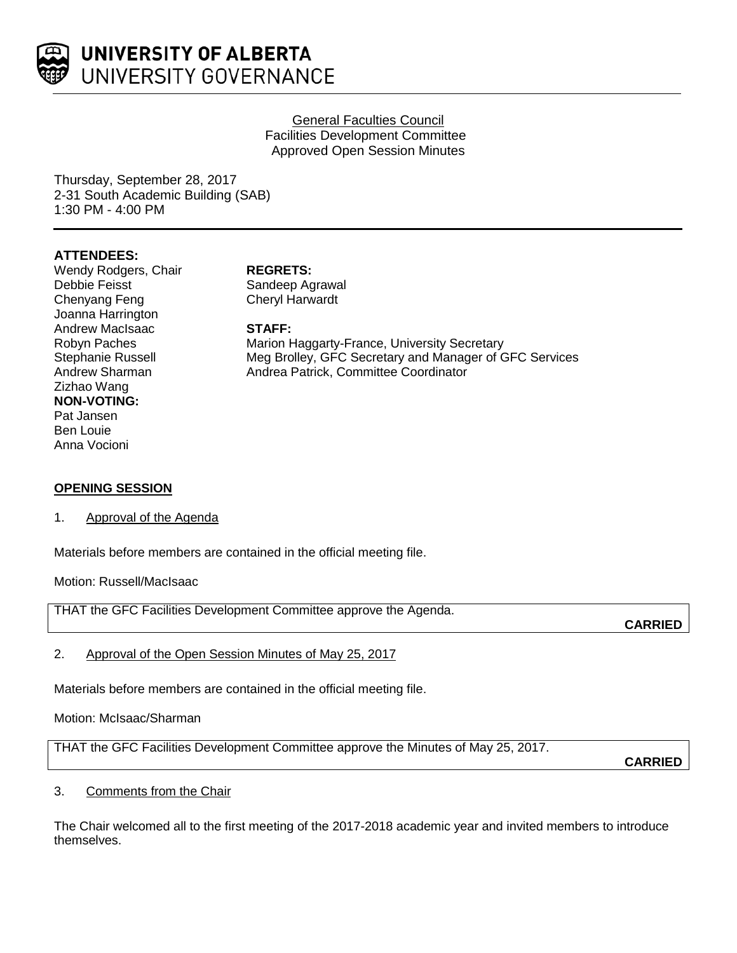

## General Faculties Council Facilities Development Committee Approved Open Session Minutes

Thursday, September 28, 2017 2-31 South Academic Building (SAB) 1:30 PM - 4:00 PM

# **ATTENDEES:**

Wendy Rodgers, Chair **REGRETS:**<br>
Debbie Feisst **Chair** Sandeep Ag Debbie Feisst Sandeep Agrawal<br>Chenyang Feng Sandeep Agrawal Joanna Harrington Andrew MacIsaac **STAFF:** Zizhao Wang **NON-VOTING:** Pat Jansen Ben Louie Anna Vocioni

Cheryl Harwardt

Robyn Paches **Marion Haggarty-France, University Secretary**<br>
Stephanie Russell Meg Brolley, GFC Secretary and Manager of G Stephanie Russell **Meg Brolley, GFC Secretary and Manager of GFC Services**<br>Andrew Sharman **Manager Andrea Patrick, Committee Coordinator** Andrea Patrick, Committee Coordinator

## **OPENING SESSION**

1. Approval of the Agenda

Materials before members are contained in the official meeting file.

Motion: Russell/MacIsaac

THAT the GFC Facilities Development Committee approve the Agenda.

**CARRIED**

2. Approval of the Open Session Minutes of May 25, 2017

Materials before members are contained in the official meeting file.

Motion: McIsaac/Sharman

THAT the GFC Facilities Development Committee approve the Minutes of May 25, 2017.

**CARRIED**

## 3. Comments from the Chair

The Chair welcomed all to the first meeting of the 2017-2018 academic year and invited members to introduce themselves.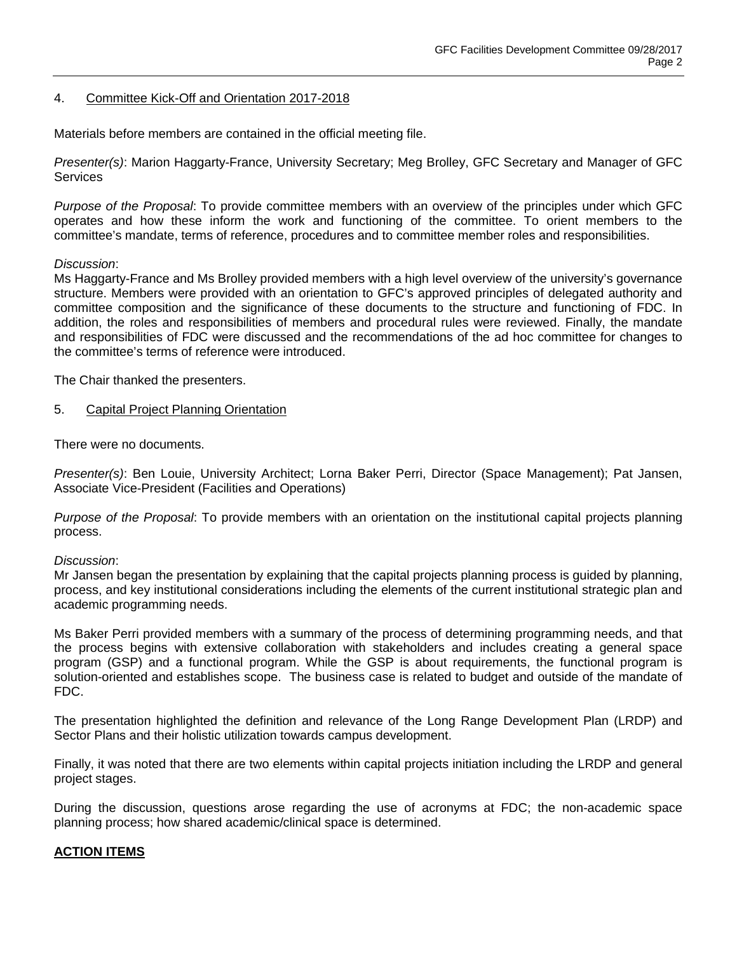## 4. Committee Kick-Off and Orientation 2017-2018

Materials before members are contained in the official meeting file.

*Presenter(s)*: Marion Haggarty-France, University Secretary; Meg Brolley, GFC Secretary and Manager of GFC **Services** 

*Purpose of the Proposal*: To provide committee members with an overview of the principles under which GFC operates and how these inform the work and functioning of the committee. To orient members to the committee's mandate, terms of reference, procedures and to committee member roles and responsibilities.

### *Discussion*:

Ms Haggarty-France and Ms Brolley provided members with a high level overview of the university's governance structure. Members were provided with an orientation to GFC's approved principles of delegated authority and committee composition and the significance of these documents to the structure and functioning of FDC. In addition, the roles and responsibilities of members and procedural rules were reviewed. Finally, the mandate and responsibilities of FDC were discussed and the recommendations of the ad hoc committee for changes to the committee's terms of reference were introduced.

The Chair thanked the presenters.

5. Capital Project Planning Orientation

There were no documents.

*Presenter(s)*: Ben Louie, University Architect; Lorna Baker Perri, Director (Space Management); Pat Jansen, Associate Vice-President (Facilities and Operations)

*Purpose of the Proposal*: To provide members with an orientation on the institutional capital projects planning process.

### *Discussion*:

Mr Jansen began the presentation by explaining that the capital projects planning process is guided by planning, process, and key institutional considerations including the elements of the current institutional strategic plan and academic programming needs.

Ms Baker Perri provided members with a summary of the process of determining programming needs, and that the process begins with extensive collaboration with stakeholders and includes creating a general space program (GSP) and a functional program. While the GSP is about requirements, the functional program is solution-oriented and establishes scope. The business case is related to budget and outside of the mandate of FDC.

The presentation highlighted the definition and relevance of the Long Range Development Plan (LRDP) and Sector Plans and their holistic utilization towards campus development.

Finally, it was noted that there are two elements within capital projects initiation including the LRDP and general project stages.

During the discussion, questions arose regarding the use of acronyms at FDC; the non-academic space planning process; how shared academic/clinical space is determined.

### **ACTION ITEMS**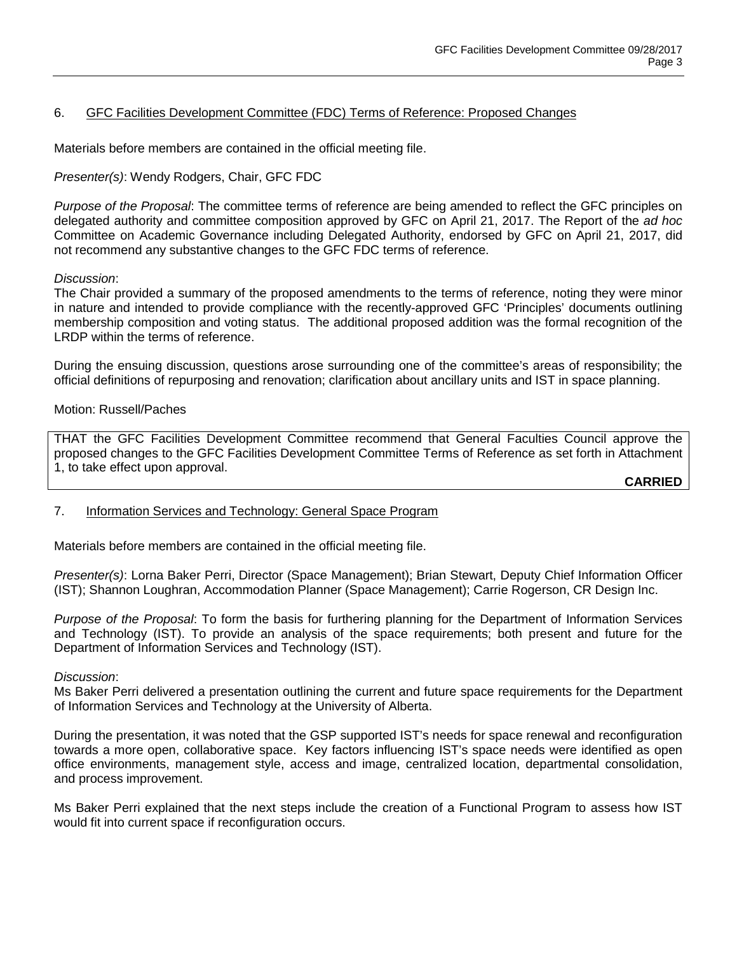# 6. GFC Facilities Development Committee (FDC) Terms of Reference: Proposed Changes

Materials before members are contained in the official meeting file.

*Presenter(s)*: Wendy Rodgers, Chair, GFC FDC

*Purpose of the Proposal*: The committee terms of reference are being amended to reflect the GFC principles on delegated authority and committee composition approved by GFC on April 21, 2017. The Report of the *ad hoc*  Committee on Academic Governance including Delegated Authority, endorsed by GFC on April 21, 2017, did not recommend any substantive changes to the GFC FDC terms of reference.

## *Discussion*:

The Chair provided a summary of the proposed amendments to the terms of reference, noting they were minor in nature and intended to provide compliance with the recently-approved GFC 'Principles' documents outlining membership composition and voting status. The additional proposed addition was the formal recognition of the LRDP within the terms of reference.

During the ensuing discussion, questions arose surrounding one of the committee's areas of responsibility; the official definitions of repurposing and renovation; clarification about ancillary units and IST in space planning.

### Motion: Russell/Paches

THAT the GFC Facilities Development Committee recommend that General Faculties Council approve the proposed changes to the GFC Facilities Development Committee Terms of Reference as set forth in Attachment 1, to take effect upon approval.

**CARRIED**

7. Information Services and Technology: General Space Program

Materials before members are contained in the official meeting file.

*Presenter(s)*: Lorna Baker Perri, Director (Space Management); Brian Stewart, Deputy Chief Information Officer (IST); Shannon Loughran, Accommodation Planner (Space Management); Carrie Rogerson, CR Design Inc.

*Purpose of the Proposal*: To form the basis for furthering planning for the Department of Information Services and Technology (IST). To provide an analysis of the space requirements; both present and future for the Department of Information Services and Technology (IST).

### *Discussion*:

Ms Baker Perri delivered a presentation outlining the current and future space requirements for the Department of Information Services and Technology at the University of Alberta.

During the presentation, it was noted that the GSP supported IST's needs for space renewal and reconfiguration towards a more open, collaborative space. Key factors influencing IST's space needs were identified as open office environments, management style, access and image, centralized location, departmental consolidation, and process improvement.

Ms Baker Perri explained that the next steps include the creation of a Functional Program to assess how IST would fit into current space if reconfiguration occurs.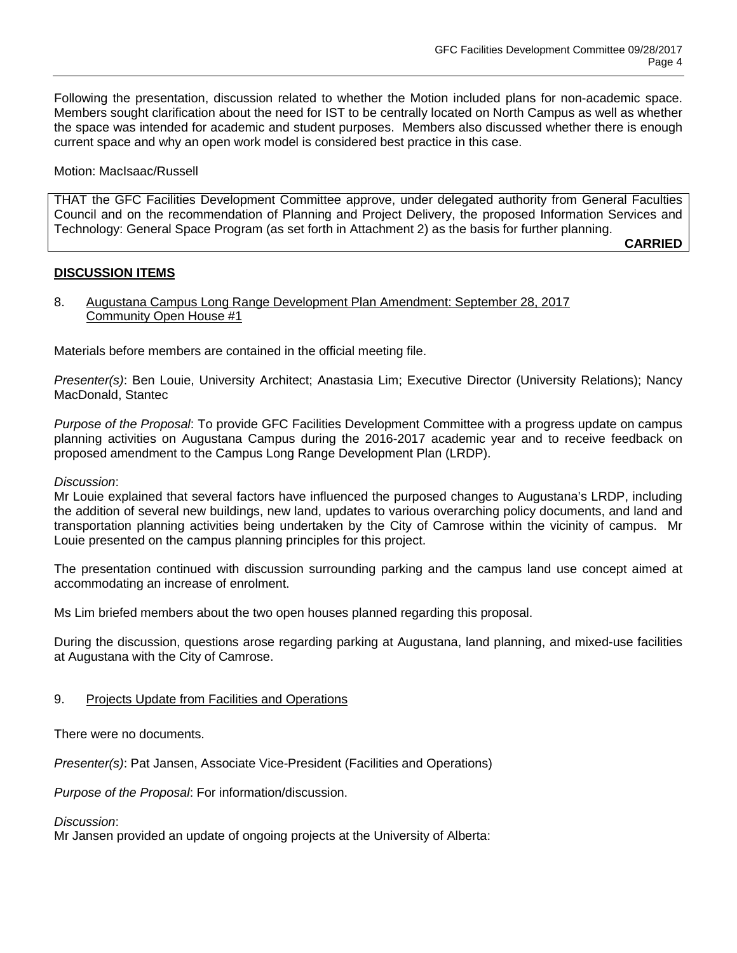Following the presentation, discussion related to whether the Motion included plans for non-academic space. Members sought clarification about the need for IST to be centrally located on North Campus as well as whether the space was intended for academic and student purposes. Members also discussed whether there is enough current space and why an open work model is considered best practice in this case.

Motion: MacIsaac/Russell

THAT the GFC Facilities Development Committee approve, under delegated authority from General Faculties Council and on the recommendation of Planning and Project Delivery, the proposed Information Services and Technology: General Space Program (as set forth in Attachment 2) as the basis for further planning.

**CARRIED**

## **DISCUSSION ITEMS**

## 8. Augustana Campus Long Range Development Plan Amendment: September 28, 2017 Community Open House #1

Materials before members are contained in the official meeting file.

*Presenter(s)*: Ben Louie, University Architect; Anastasia Lim; Executive Director (University Relations); Nancy MacDonald, Stantec

*Purpose of the Proposal*: To provide GFC Facilities Development Committee with a progress update on campus planning activities on Augustana Campus during the 2016-2017 academic year and to receive feedback on proposed amendment to the Campus Long Range Development Plan (LRDP).

### *Discussion*:

Mr Louie explained that several factors have influenced the purposed changes to Augustana's LRDP, including the addition of several new buildings, new land, updates to various overarching policy documents, and land and transportation planning activities being undertaken by the City of Camrose within the vicinity of campus. Mr Louie presented on the campus planning principles for this project.

The presentation continued with discussion surrounding parking and the campus land use concept aimed at accommodating an increase of enrolment.

Ms Lim briefed members about the two open houses planned regarding this proposal.

During the discussion, questions arose regarding parking at Augustana, land planning, and mixed-use facilities at Augustana with the City of Camrose.

## 9. Projects Update from Facilities and Operations

There were no documents.

*Presenter(s)*: Pat Jansen, Associate Vice-President (Facilities and Operations)

*Purpose of the Proposal*: For information/discussion.

*Discussion*:

Mr Jansen provided an update of ongoing projects at the University of Alberta: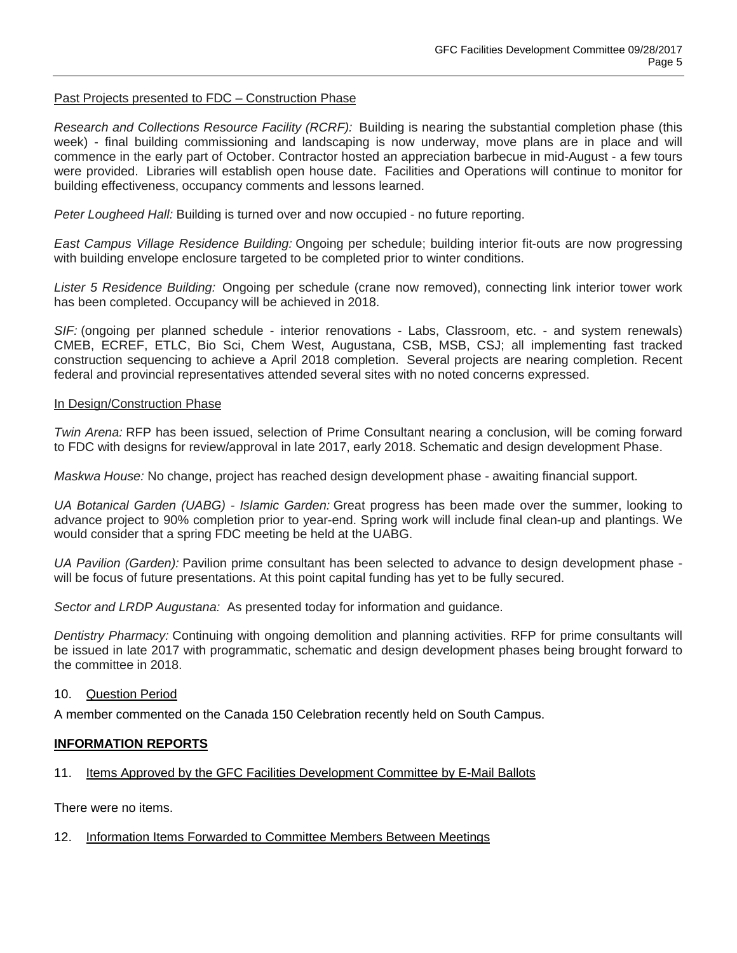## Past Projects presented to FDC – Construction Phase

*Research and Collections Resource Facility (RCRF):* Building is nearing the substantial completion phase (this week) - final building commissioning and landscaping is now underway, move plans are in place and will commence in the early part of October. Contractor hosted an appreciation barbecue in mid-August - a few tours were provided. Libraries will establish open house date. Facilities and Operations will continue to monitor for building effectiveness, occupancy comments and lessons learned.

*Peter Lougheed Hall:* Building is turned over and now occupied - no future reporting.

*East Campus Village Residence Building:* Ongoing per schedule; building interior fit-outs are now progressing with building envelope enclosure targeted to be completed prior to winter conditions.

*Lister 5 Residence Building:* Ongoing per schedule (crane now removed), connecting link interior tower work has been completed. Occupancy will be achieved in 2018.

*SIF:* (ongoing per planned schedule - interior renovations - Labs, Classroom, etc. - and system renewals) CMEB, ECREF, ETLC, Bio Sci, Chem West, Augustana, CSB, MSB, CSJ; all implementing fast tracked construction sequencing to achieve a April 2018 completion. Several projects are nearing completion. Recent federal and provincial representatives attended several sites with no noted concerns expressed.

### In Design/Construction Phase

*Twin Arena:* RFP has been issued, selection of Prime Consultant nearing a conclusion, will be coming forward to FDC with designs for review/approval in late 2017, early 2018. Schematic and design development Phase.

*Maskwa House:* No change, project has reached design development phase - awaiting financial support.

*UA Botanical Garden (UABG) - Islamic Garden:* Great progress has been made over the summer, looking to advance project to 90% completion prior to year-end. Spring work will include final clean-up and plantings. We would consider that a spring FDC meeting be held at the UABG.

*UA Pavilion (Garden):* Pavilion prime consultant has been selected to advance to design development phase will be focus of future presentations. At this point capital funding has yet to be fully secured.

*Sector and LRDP Augustana:* As presented today for information and guidance.

*Dentistry Pharmacy:* Continuing with ongoing demolition and planning activities. RFP for prime consultants will be issued in late 2017 with programmatic, schematic and design development phases being brought forward to the committee in 2018.

## 10. Question Period

A member commented on the Canada 150 Celebration recently held on South Campus.

## **INFORMATION REPORTS**

## 11. Items Approved by the GFC Facilities Development Committee by E-Mail Ballots

There were no items.

### 12. Information Items Forwarded to Committee Members Between Meetings